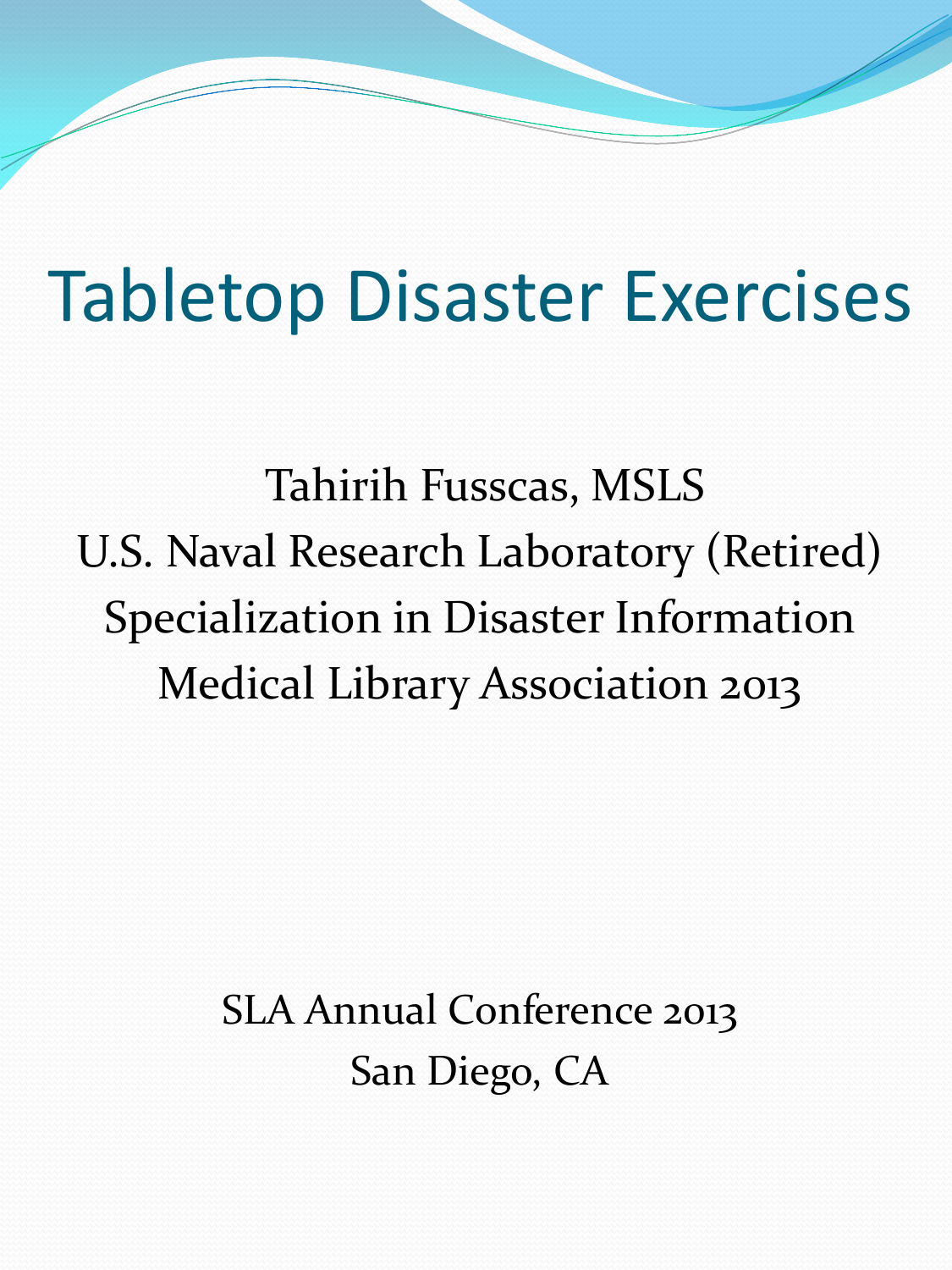#### Tabletop Disaster Exercises

Tahirih Fusscas, MSLS U.S. Naval Research Laboratory (Retired) Specialization in Disaster Information Medical Library Association 2013

> SLA Annual Conference 2013 San Diego, CA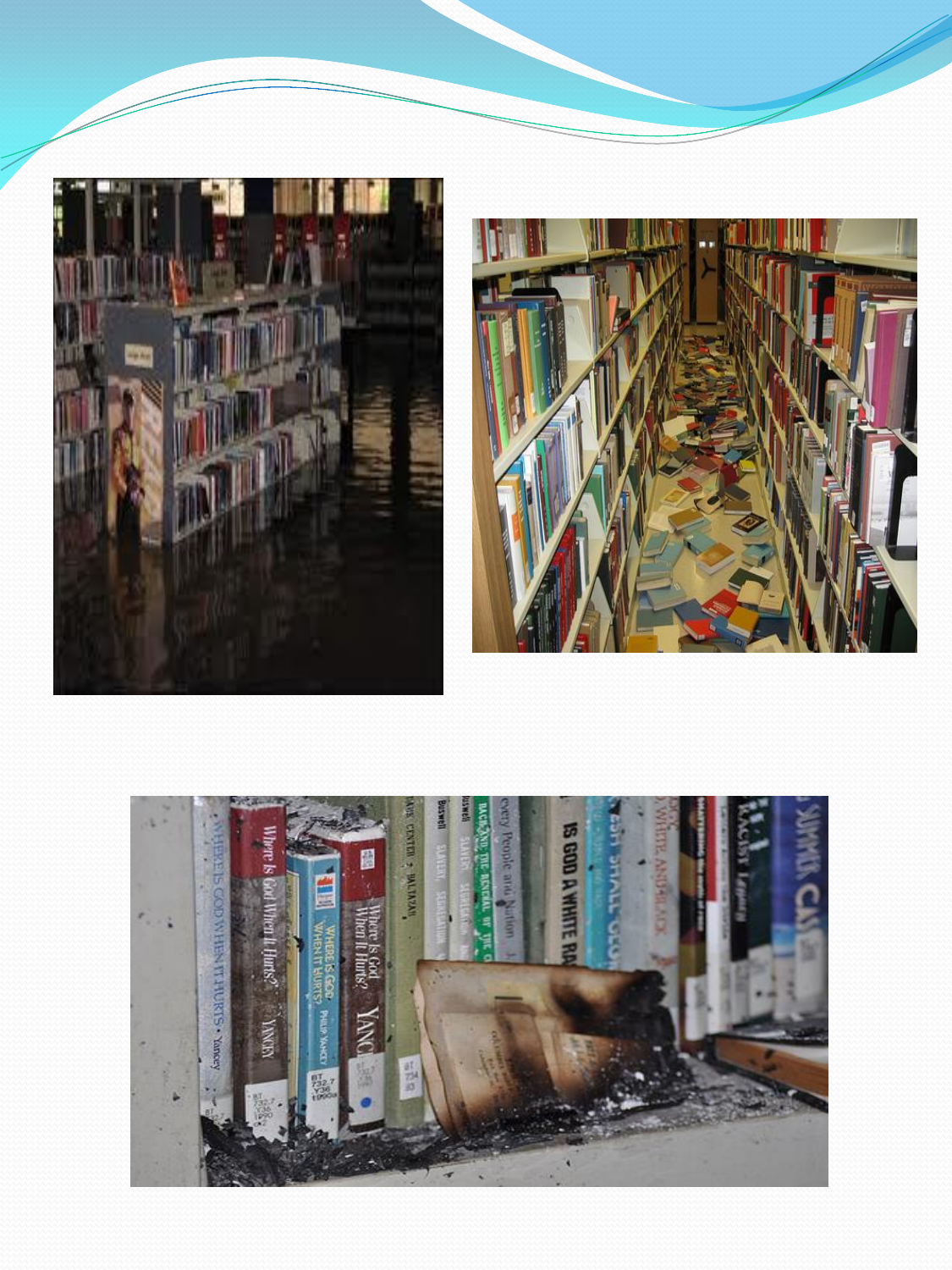



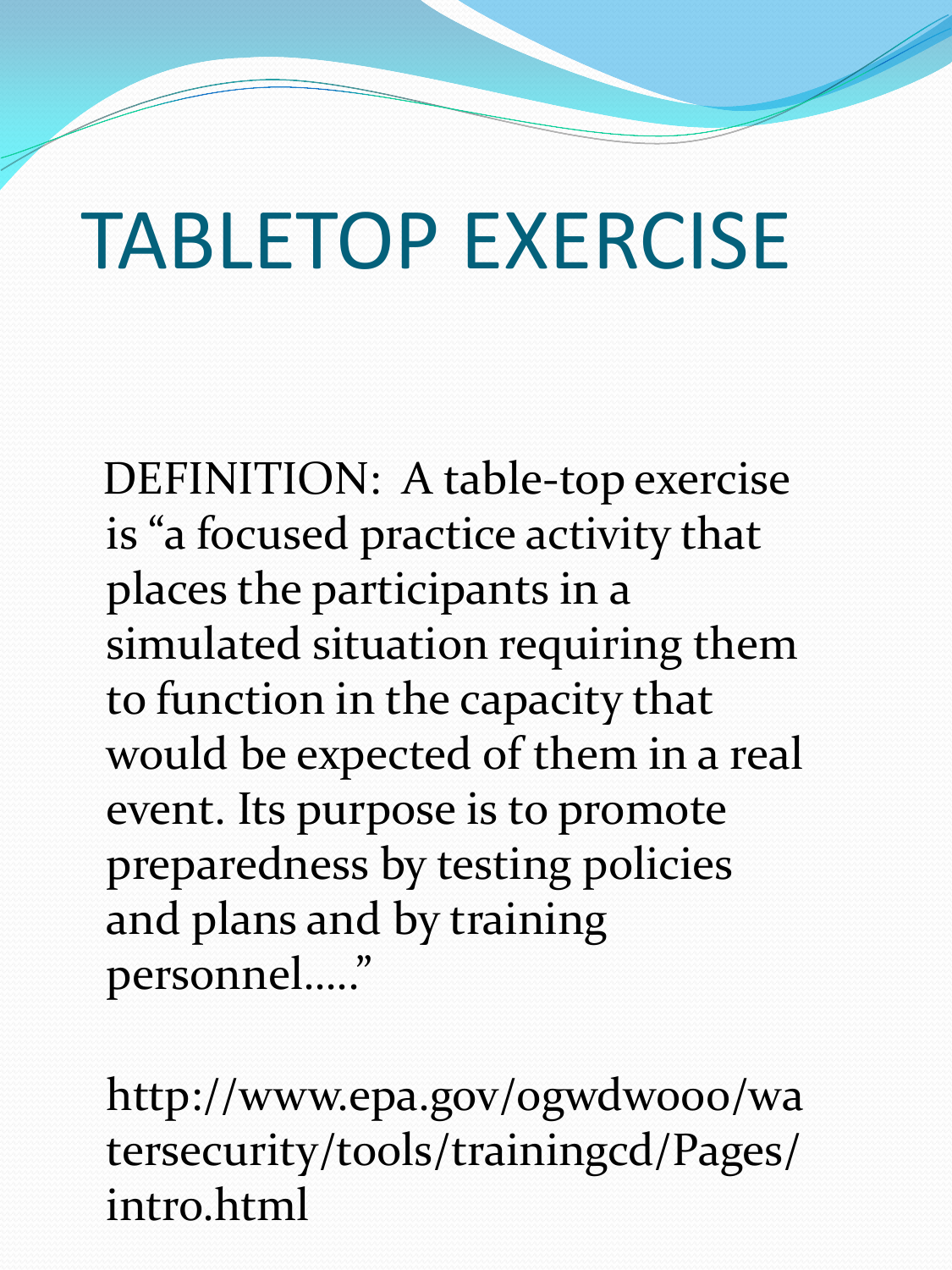# TABLETOP EXERCISE

 DEFINITION: A table-top exercise is "a focused practice activity that places the participants in a simulated situation requiring them to function in the capacity that would be expected of them in a real event. Its purpose is to promote preparedness by testing policies and plans and by training personnel….."

http://www.epa.gov/ogwdw000/wa tersecurity/tools/trainingcd/Pages/ intro.html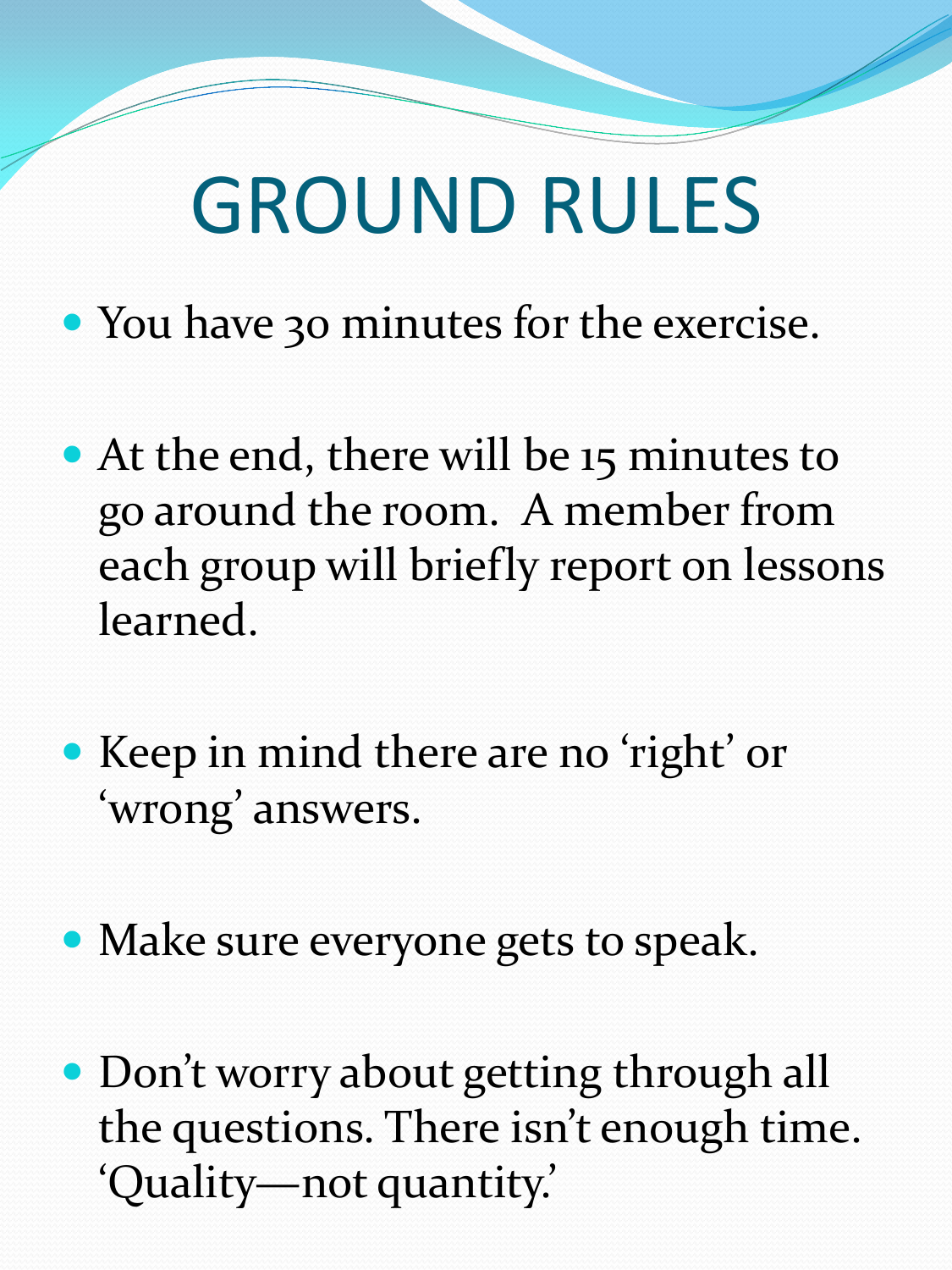# GROUND RULES

- You have 30 minutes for the exercise.
- At the end, there will be 15 minutes to go around the room. A member from each group will briefly report on lessons learned.
- Keep in mind there are no 'right' or 'wrong' answers.
- Make sure everyone gets to speak.
- Don't worry about getting through all the questions. There isn't enough time. 'Quality—not quantity.'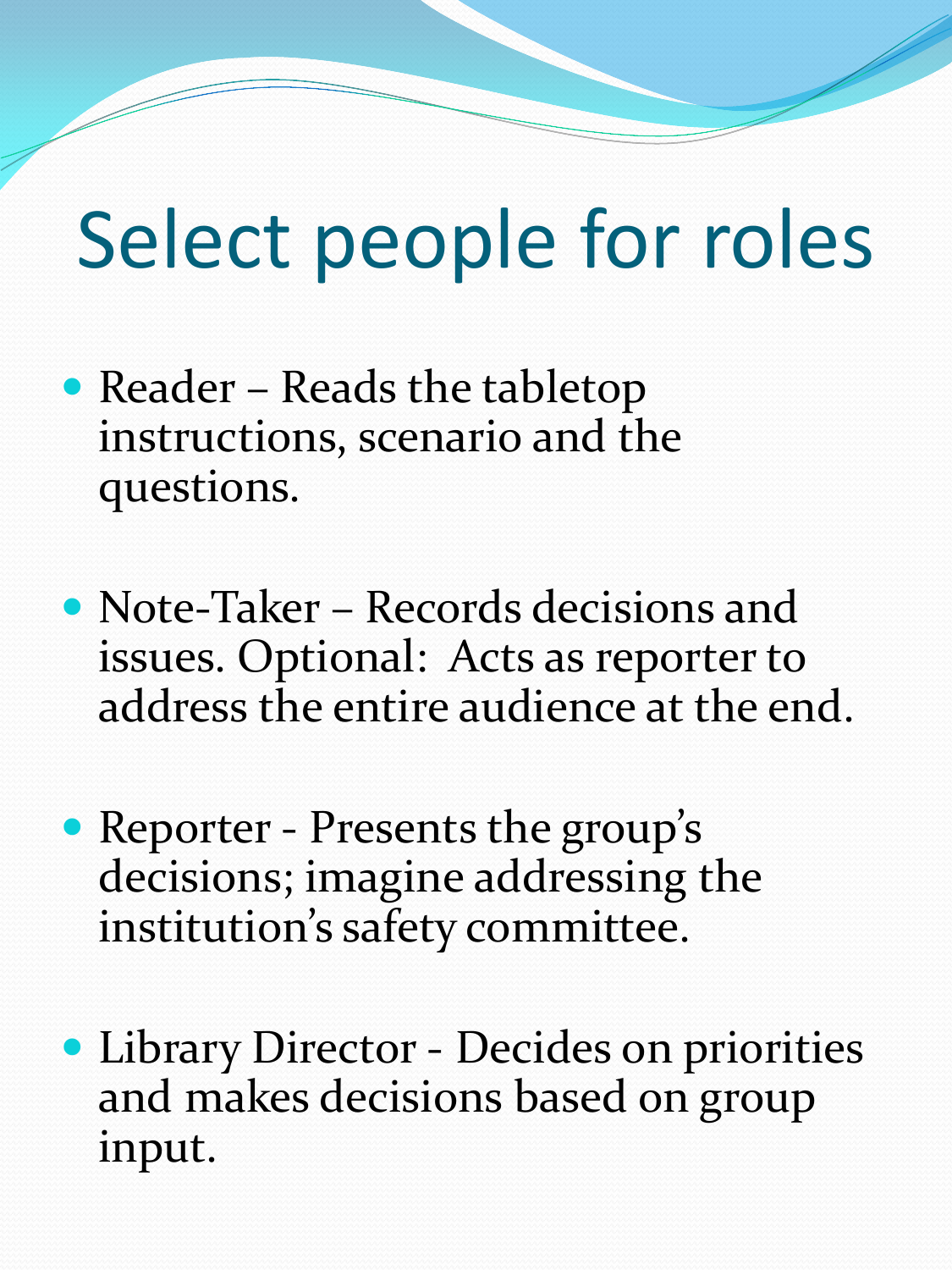## Select people for roles

- Reader Reads the tabletop instructions, scenario and the questions.
- Note-Taker Records decisions and issues. Optional: Acts as reporter to address the entire audience at the end.
- Reporter Presents the group's decisions; imagine addressing the institution's safety committee.
- Library Director Decides on priorities and makes decisions based on group input.